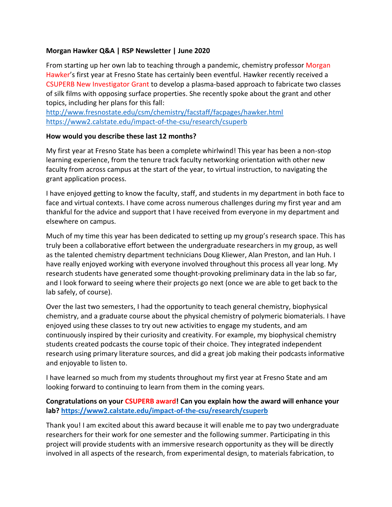#### **Morgan Hawker Q&A | RSP Newsletter | June 2020**

From starting up her own lab to teaching through a pandemic, chemistry professor Morgan Hawker's first year at Fresno State has certainly been eventful. Hawker recently received a CSUPERB New Investigator Grant to develop a plasma-based approach to fabricate two classes of silk films with opposing surface properties. She recently spoke about the grant and other topics, including her plans for this fall:

<http://www.fresnostate.edu/csm/chemistry/facstaff/facpages/hawker.html> <https://www2.calstate.edu/impact-of-the-csu/research/csuperb>

#### **How would you describe these last 12 months?**

My first year at Fresno State has been a complete whirlwind! This year has been a non-stop learning experience, from the tenure track faculty networking orientation with other new faculty from across campus at the start of the year, to virtual instruction, to navigating the grant application process.

I have enjoyed getting to know the faculty, staff, and students in my department in both face to face and virtual contexts. I have come across numerous challenges during my first year and am thankful for the advice and support that I have received from everyone in my department and elsewhere on campus.

Much of my time this year has been dedicated to setting up my group's research space. This has truly been a collaborative effort between the undergraduate researchers in my group, as well as the talented chemistry department technicians Doug Kliewer, Alan Preston, and Ian Huh. I have really enjoyed working with everyone involved throughout this process all year long. My research students have generated some thought-provoking preliminary data in the lab so far, and I look forward to seeing where their projects go next (once we are able to get back to the lab safely, of course).

Over the last two semesters, I had the opportunity to teach general chemistry, biophysical chemistry, and a graduate course about the physical chemistry of polymeric biomaterials. I have enjoyed using these classes to try out new activities to engage my students, and am continuously inspired by their curiosity and creativity. For example, my biophysical chemistry students created podcasts the course topic of their choice. They integrated independent research using primary literature sources, and did a great job making their podcasts informative and enjoyable to listen to.

I have learned so much from my students throughout my first year at Fresno State and am looking forward to continuing to learn from them in the coming years.

### **Congratulations on your CSUPERB award! Can you explain how the award will enhance your lab?<https://www2.calstate.edu/impact-of-the-csu/research/csuperb>**

Thank you! I am excited about this award because it will enable me to pay two undergraduate researchers for their work for one semester and the following summer. Participating in this project will provide students with an immersive research opportunity as they will be directly involved in all aspects of the research, from experimental design, to materials fabrication, to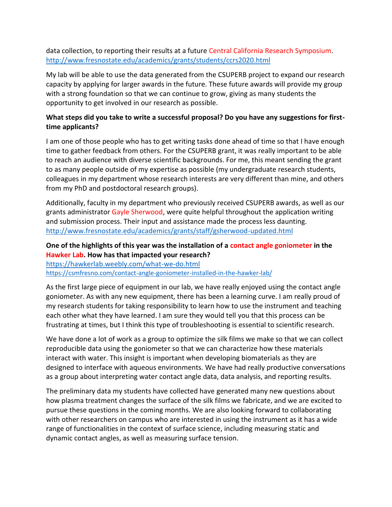data collection, to reporting their results at a future Central California Research Symposium. <http://www.fresnostate.edu/academics/grants/students/ccrs2020.html>

My lab will be able to use the data generated from the CSUPERB project to expand our research capacity by applying for larger awards in the future. These future awards will provide my group with a strong foundation so that we can continue to grow, giving as many students the opportunity to get involved in our research as possible.

# **What steps did you take to write a successful proposal? Do you have any suggestions for firsttime applicants?**

I am one of those people who has to get writing tasks done ahead of time so that I have enough time to gather feedback from others. For the CSUPERB grant, it was really important to be able to reach an audience with diverse scientific backgrounds. For me, this meant sending the grant to as many people outside of my expertise as possible (my undergraduate research students, colleagues in my department whose research interests are very different than mine, and others from my PhD and postdoctoral research groups).

Additionally, faculty in my department who previously received CSUPERB awards, as well as our grants administrator Gayle Sherwood, were quite helpful throughout the application writing and submission process. Their input and assistance made the process less daunting. <http://www.fresnostate.edu/academics/grants/staff/gsherwood-updated.html>

# **One of the highlights of this year was the installation of a contact angle goniometer in the Hawker Lab. How has that impacted your research?**

<https://hawkerlab.weebly.com/what-we-do.html> <https://csmfresno.com/contact-angle-goniometer-installed-in-the-hawker-lab/>

As the first large piece of equipment in our lab, we have really enjoyed using the contact angle goniometer. As with any new equipment, there has been a learning curve. I am really proud of my research students for taking responsibility to learn how to use the instrument and teaching each other what they have learned. I am sure they would tell you that this process can be frustrating at times, but I think this type of troubleshooting is essential to scientific research.

We have done a lot of work as a group to optimize the silk films we make so that we can collect reproducible data using the goniometer so that we can characterize how these materials interact with water. This insight is important when developing biomaterials as they are designed to interface with aqueous environments. We have had really productive conversations as a group about interpreting water contact angle data, data analysis, and reporting results.

The preliminary data my students have collected have generated many new questions about how plasma treatment changes the surface of the silk films we fabricate, and we are excited to pursue these questions in the coming months. We are also looking forward to collaborating with other researchers on campus who are interested in using the instrument as it has a wide range of functionalities in the context of surface science, including measuring static and dynamic contact angles, as well as measuring surface tension.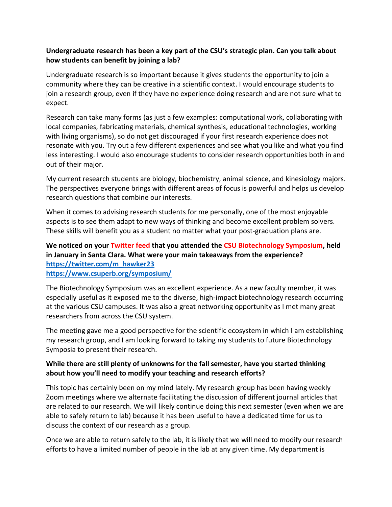## **Undergraduate research has been a key part of the CSU's strategic plan. Can you talk about how students can benefit by joining a lab?**

Undergraduate research is so important because it gives students the opportunity to join a community where they can be creative in a scientific context. I would encourage students to join a research group, even if they have no experience doing research and are not sure what to expect.

Research can take many forms (as just a few examples: computational work, collaborating with local companies, fabricating materials, chemical synthesis, educational technologies, working with living organisms), so do not get discouraged if your first research experience does not resonate with you. Try out a few different experiences and see what you like and what you find less interesting. I would also encourage students to consider research opportunities both in and out of their major.

My current research students are biology, biochemistry, animal science, and kinesiology majors. The perspectives everyone brings with different areas of focus is powerful and helps us develop research questions that combine our interests.

When it comes to advising research students for me personally, one of the most enjoyable aspects is to see them adapt to new ways of thinking and become excellent problem solvers. These skills will benefit you as a student no matter what your post-graduation plans are.

### **We noticed on your Twitter feed that you attended the CSU Biotechnology Symposium, held in January in Santa Clara. What were your main takeaways from the experience? [https://twitter.com/m\\_hawker23](https://twitter.com/m_hawker23)**

**<https://www.csuperb.org/symposium/>**

The Biotechnology Symposium was an excellent experience. As a new faculty member, it was especially useful as it exposed me to the diverse, high-impact biotechnology research occurring at the various CSU campuses. It was also a great networking opportunity as I met many great researchers from across the CSU system.

The meeting gave me a good perspective for the scientific ecosystem in which I am establishing my research group, and I am looking forward to taking my students to future Biotechnology Symposia to present their research.

# **While there are still plenty of unknowns for the fall semester, have you started thinking about how you'll need to modify your teaching and research efforts?**

This topic has certainly been on my mind lately. My research group has been having weekly Zoom meetings where we alternate facilitating the discussion of different journal articles that are related to our research. We will likely continue doing this next semester (even when we are able to safely return to lab) because it has been useful to have a dedicated time for us to discuss the context of our research as a group.

Once we are able to return safely to the lab, it is likely that we will need to modify our research efforts to have a limited number of people in the lab at any given time. My department is